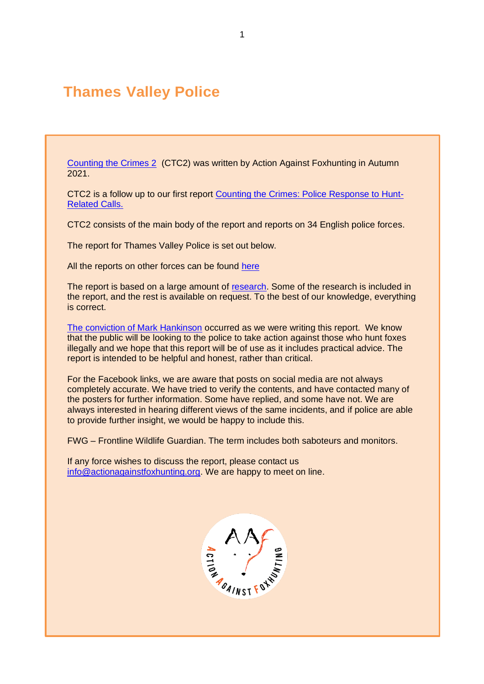# **Thames Valley Police**

[Counting the Crimes 2](https://www.actionagainstfoxhunting.org/counting-the-crimes2-the-police-response/) (CTC2) was written by Action Against Foxhunting in Autumn 2021.

CTC2 is a follow up to our first report [Counting the Crimes: Police Response to Hunt-](https://www.actionagainstfoxhunting.org/counting-the-crimes/)[Related Calls.](https://www.actionagainstfoxhunting.org/counting-the-crimes/)

CTC2 consists of the main body of the report and reports on 34 English police forces.

The report for Thames Valley Police is set out below.

All the reports on other forces can be found [here](https://www.actionagainstfoxhunting.org/counting-the-crimes2-the-police-response/)

The report is based on a large amount of [research.](https://www.actionagainstfoxhunting.org/wp-content/uploads/2021/11/A-1411-Research-for-CTC2.pdf) Some of the research is included in the report, and the rest is available on request. To the best of our knowledge, everything is correct.

[The conviction of Mark Hankinson](https://www.league.org.uk/news-and-resources/news/hunting-office-webinars-the-road-to-conviction/) occurred as we were writing this report. We know that the public will be looking to the police to take action against those who hunt foxes illegally and we hope that this report will be of use as it includes practical advice. The report is intended to be helpful and honest, rather than critical.

For the Facebook links, we are aware that posts on social media are not always completely accurate. We have tried to verify the contents, and have contacted many of the posters for further information. Some have replied, and some have not. We are always interested in hearing different views of the same incidents, and if police are able to provide further insight, we would be happy to include this.

FWG – Frontline Wildlife Guardian. The term includes both saboteurs and monitors.

If any force wishes to discuss the report, please contact us [info@actionagainstfoxhunting.org.](mailto:info@actionagainstfoxhunting.org) We are happy to meet on line.

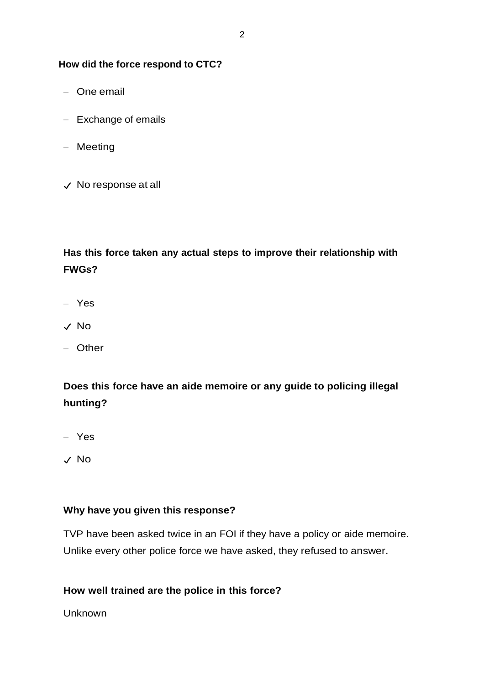#### **How did the force respond to CTC?**

- One email
- Exchange of emails
- Meeting
- ✓ No response at all

# **Has this force taken any actual steps to improve their relationship with FWGs?**

- Yes
- ✓ No
- Other

# **Does this force have an aide memoire or any guide to policing illegal hunting?**

- Yes
- ✓ No

### **Why have you given this response?**

TVP have been asked twice in an FOI if they have a policy or aide memoire. Unlike every other police force we have asked, they refused to answer.

## **How well trained are the police in this force?**

Unknown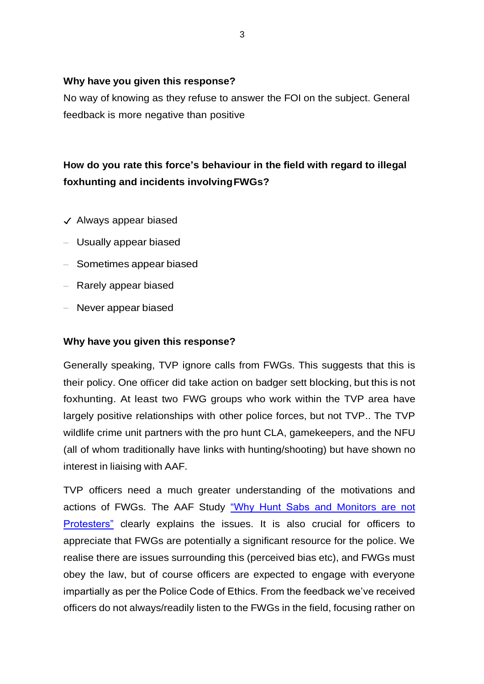#### **Why have you given this response?**

No way of knowing as they refuse to answer the FOI on the subject. General feedback is more negative than positive

# **How do you rate this force's behaviour in the field with regard to illegal foxhunting and incidents involvingFWGs?**

- ✓ Always appear biased
- Usually appear biased
- Sometimes appear biased
- Rarely appear biased
- Never appear biased

### **Why have you given this response?**

Generally speaking, TVP ignore calls from FWGs. This suggests that this is their policy. One officer did take action on badger sett blocking, but this is not foxhunting. At least two FWG groups who work within the TVP area have largely positive relationships with other police forces, but not TVP.. The TVP wildlife crime unit partners with the pro hunt CLA, gamekeepers, and the NFU (all of whom traditionally have links with hunting/shooting) but have shown no interest in liaising with AAF.

TVP officers need a much greater understanding of the motivations and actions of FWGs. The AAF Study ["Why Hunt Sabs and Monitors are not](https://www.actionagainstfoxhunting.org/wp-content/uploads/2021/09/Why-hunt-saboteurs-and-hunt-monitors-are-not-protesters.pdf)  [Protesters"](https://www.actionagainstfoxhunting.org/wp-content/uploads/2021/09/Why-hunt-saboteurs-and-hunt-monitors-are-not-protesters.pdf) clearly explains the issues. It is also crucial for officers to appreciate that FWGs are potentially a significant resource for the police. We realise there are issues surrounding this (perceived bias etc), and FWGs must obey the law, but of course officers are expected to engage with everyone impartially as per the Police Code of Ethics. From the feedback we've received officers do not always/readily listen to the FWGs in the field, focusing rather on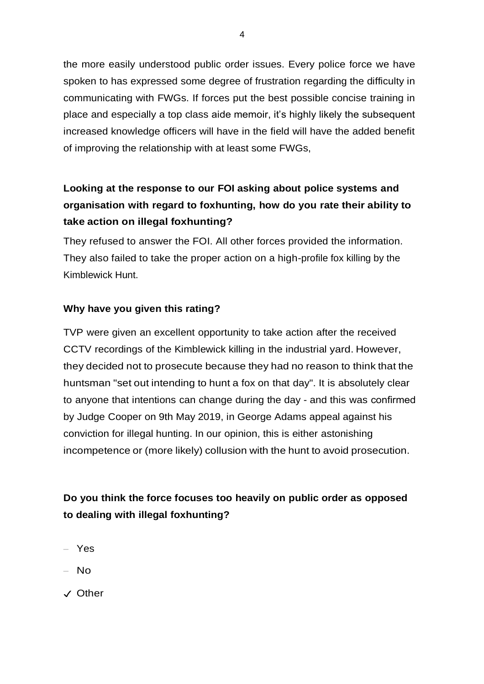the more easily understood public order issues. Every police force we have spoken to has expressed some degree of frustration regarding the difficulty in communicating with FWGs. If forces put the best possible concise training in place and especially a top class aide memoir, it's highly likely the subsequent increased knowledge officers will have in the field will have the added benefit of improving the relationship with at least some FWGs,

# **Looking at the response to our FOI asking about police systems and organisation with regard to foxhunting, how do you rate their ability to take action on illegal foxhunting?**

They refused to answer the FOI. All other forces provided the information. They also failed to take the proper action on a high-profile fox killing by the Kimblewick Hunt.

### **Why have you given this rating?**

TVP were given an excellent opportunity to take action after the received CCTV recordings of the Kimblewick killing in the industrial yard. However, they decided not to prosecute because they had no reason to think that the huntsman "set out intending to hunt a fox on that day". It is absolutely clear to anyone that intentions can change during the day - and this was confirmed by Judge Cooper on 9th May 2019, in George Adams appeal against his conviction for illegal hunting. In our opinion, this is either astonishing incompetence or (more likely) collusion with the hunt to avoid prosecution.

## **Do you think the force focuses too heavily on public order as opposed to dealing with illegal foxhunting?**

- Yes
- No
- ✓ Other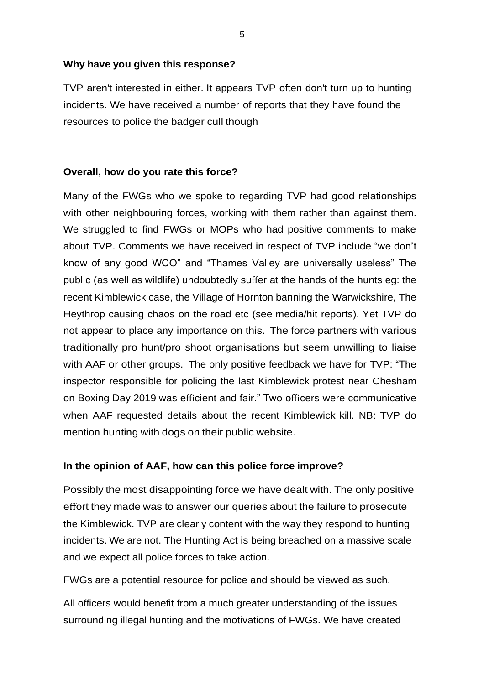#### **Why have you given this response?**

TVP aren't interested in either. It appears TVP often don't turn up to hunting incidents. We have received a number of reports that they have found the resources to police the badger cull though

### **Overall, how do you rate this force?**

Many of the FWGs who we spoke to regarding TVP had good relationships with other neighbouring forces, working with them rather than against them. We struggled to find FWGs or MOPs who had positive comments to make about TVP. Comments we have received in respect of TVP include "we don't know of any good WCO" and "Thames Valley are universally useless" The public (as well as wildlife) undoubtedly suffer at the hands of the hunts eg: the recent Kimblewick case, the Village of Hornton banning the Warwickshire, The Heythrop causing chaos on the road etc (see media/hit reports). Yet TVP do not appear to place any importance on this. The force partners with various traditionally pro hunt/pro shoot organisations but seem unwilling to liaise with AAF or other groups. The only positive feedback we have for TVP: "The inspector responsible for policing the last Kimblewick protest near Chesham on Boxing Day 2019 was efficient and fair." Two officers were communicative when AAF requested details about the recent Kimblewick kill. NB: TVP do mention hunting with dogs on their public website.

## **In the opinion of AAF, how can this police force improve?**

Possibly the most disappointing force we have dealt with. The only positive effort they made was to answer our queries about the failure to prosecute the Kimblewick. TVP are clearly content with the way they respond to hunting incidents. We are not. The Hunting Act is being breached on a massive scale and we expect all police forces to take action.

FWGs are a potential resource for police and should be viewed as such.

All officers would benefit from a much greater understanding of the issues surrounding illegal hunting and the motivations of FWGs. We have created

5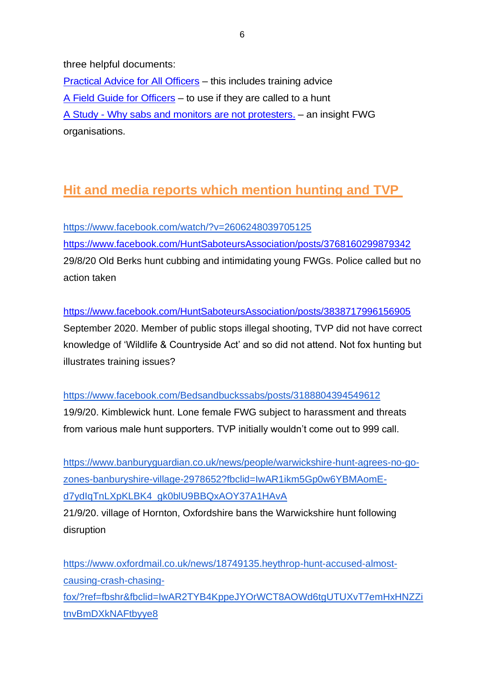three helpful documents:

[Practical Advice for All Officers](https://www.actionagainstfoxhunting.org/wp-content/uploads/2021/11/B-1411-Practical-Advice-for-all-Police-Forces.pdf) – this includes training advice [A Field Guide for Officers](https://www.actionagainstfoxhunting.org/wp-content/uploads/2021/11/A-1411-FIELD-GUIDE-ILLEGAL-FOXHUNTING.pdf) – to use if they are called to a hunt A Study - [Why sabs and monitors are not protesters.](https://www.actionagainstfoxhunting.org/wp-content/uploads/2021/11/A-1411-Why-sabs-and-monitors-arent-protesters.pdf) – an insight FWG organisations.

# **Hit and media reports which mention hunting and TVP**

<https://www.facebook.com/watch/?v=2606248039705125> <https://www.facebook.com/HuntSaboteursAssociation/posts/3768160299879342> 29/8/20 Old Berks hunt cubbing and intimidating young FWGs. Police called but no action taken

<https://www.facebook.com/HuntSaboteursAssociation/posts/3838717996156905> September 2020. Member of public stops illegal shooting, TVP did not have correct knowledge of 'Wildlife & Countryside Act' and so did not attend. Not fox hunting but illustrates training issues?

### <https://www.facebook.com/Bedsandbuckssabs/posts/3188804394549612>

19/9/20. Kimblewick hunt. Lone female FWG subject to harassment and threats from various male hunt supporters. TVP initially wouldn't come out to 999 call.

[https://www.banburyguardian.co.uk/news/people/warwickshire-hunt-agrees-no-go](https://www.banburyguardian.co.uk/news/people/warwickshire-hunt-agrees-no-go-zones-banburyshire-village-2978652?fbclid=IwAR1ikm5Gp0w6YBMAomE-d7ydIqTnLXpKLBK4_gk0blU9BBQxAOY37A1HAvA)[zones-banburyshire-village-2978652?fbclid=IwAR1ikm5Gp0w6YBMAomE](https://www.banburyguardian.co.uk/news/people/warwickshire-hunt-agrees-no-go-zones-banburyshire-village-2978652?fbclid=IwAR1ikm5Gp0w6YBMAomE-d7ydIqTnLXpKLBK4_gk0blU9BBQxAOY37A1HAvA)[d7ydIqTnLXpKLBK4\\_gk0blU9BBQxAOY37A1HAvA](https://www.banburyguardian.co.uk/news/people/warwickshire-hunt-agrees-no-go-zones-banburyshire-village-2978652?fbclid=IwAR1ikm5Gp0w6YBMAomE-d7ydIqTnLXpKLBK4_gk0blU9BBQxAOY37A1HAvA)

21/9/20. village of Hornton, Oxfordshire bans the Warwickshire hunt following disruption

[https://www.oxfordmail.co.uk/news/18749135.heythrop-hunt-accused-almost](https://www.oxfordmail.co.uk/news/18749135.heythrop-hunt-accused-almost-causing-crash-chasing-fox/?ref=fbshr&fbclid=IwAR2TYB4KppeJYOrWCT8AOWd6tgUTUXvT7emHxHNZZitnvBmDXkNAFtbyye8)[causing-crash-chasing](https://www.oxfordmail.co.uk/news/18749135.heythrop-hunt-accused-almost-causing-crash-chasing-fox/?ref=fbshr&fbclid=IwAR2TYB4KppeJYOrWCT8AOWd6tgUTUXvT7emHxHNZZitnvBmDXkNAFtbyye8)[fox/?ref=fbshr&fbclid=IwAR2TYB4KppeJYOrWCT8AOWd6tgUTUXvT7emHxHNZZi](https://www.oxfordmail.co.uk/news/18749135.heythrop-hunt-accused-almost-causing-crash-chasing-fox/?ref=fbshr&fbclid=IwAR2TYB4KppeJYOrWCT8AOWd6tgUTUXvT7emHxHNZZitnvBmDXkNAFtbyye8) [tnvBmDXkNAFtbyye8](https://www.oxfordmail.co.uk/news/18749135.heythrop-hunt-accused-almost-causing-crash-chasing-fox/?ref=fbshr&fbclid=IwAR2TYB4KppeJYOrWCT8AOWd6tgUTUXvT7emHxHNZZitnvBmDXkNAFtbyye8)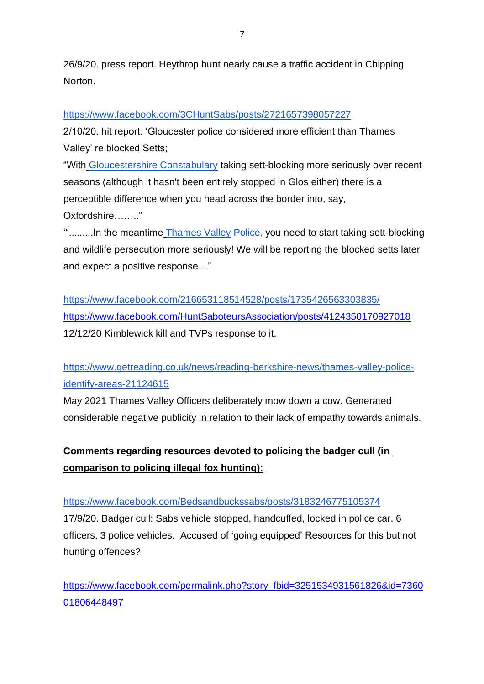26/9/20. press report. Heythrop hunt nearly cause a traffic accident in Chipping Norton.

### <https://www.facebook.com/3CHuntSabs/posts/2721657398057227>

2/10/20. hit report. 'Gloucester police considered more efficient than Thames Valley' re blocked Setts;

"With [Gloucestershire Constabulary](https://www.facebook.com/gloucestershire.constabulary/?__cft__%5B0%5D=AZVFElUtK3ZfapYdhsbjsYbeBQtflRVbL9_M1men-gphk7mwafTaFU8T84Bvi71t_epgbHqa9n7oCV5ztny3pgUXhQ4O7IJgE083vJjD6yLtEnih8jspXpFIfaDdOP7c0vwxwQwThEZ89KtZbnVni1Pnm8SKA4vXx3tuaZMBJCfgrQ&__tn__=kK-y-R) taking sett-blocking more seriously over recent seasons (although it hasn't been entirely stopped in Glos either) there is a perceptible difference when you head across the border into, say, Oxfordshire…….."

".........In the meantime [Thames Valley](https://www.facebook.com/thamesvp/?__cft__%5B0%5D=AZVFElUtK3ZfapYdhsbjsYbeBQtflRVbL9_M1men-gphk7mwafTaFU8T84Bvi71t_epgbHqa9n7oCV5ztny3pgUXhQ4O7IJgE083vJjD6yLtEnih8jspXpFIfaDdOP7c0vwxwQwThEZ89KtZbnVni1Pnm8SKA4vXx3tuaZMBJCfgrQ&__tn__=kK-y-R) Police, you need to start taking sett-blocking and wildlife persecution more seriously! We will be reporting the blocked setts later and expect a positive response…"

<https://www.facebook.com/216653118514528/posts/1735426563303835/> <https://www.facebook.com/HuntSaboteursAssociation/posts/4124350170927018> 12/12/20 Kimblewick kill and TVPs response to it.

[https://www.getreading.co.uk/news/reading-berkshire-news/thames-valley-police](https://www.getreading.co.uk/news/reading-berkshire-news/thames-valley-police-identify-areas-21124615)[identify-areas-21124615](https://www.getreading.co.uk/news/reading-berkshire-news/thames-valley-police-identify-areas-21124615)

May 2021 Thames Valley Officers deliberately mow down a cow. Generated considerable negative publicity in relation to their lack of empathy towards animals.

# **Comments regarding resources devoted to policing the badger cull (in comparison to policing illegal fox hunting):**

## <https://www.facebook.com/Bedsandbuckssabs/posts/3183246775105374>

17/9/20. Badger cull: Sabs vehicle stopped, handcuffed, locked in police car. 6 officers, 3 police vehicles. Accused of 'going equipped' Resources for this but not hunting offences?

[https://www.facebook.com/permalink.php?story\\_fbid=3251534931561826&id=7360](https://www.facebook.com/permalink.php?story_fbid=3251534931561826&id=736001806448497) [01806448497](https://www.facebook.com/permalink.php?story_fbid=3251534931561826&id=736001806448497)